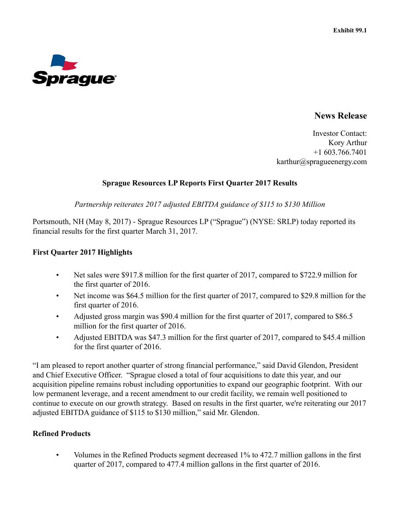

## **News Release**

Investor Contact: Kory Arthur +1 603.766.7401 karthur@spragueenergy.com

#### **Sprague Resources LP Reports First Quarter 2017 Results**

*Partnership reiterates 2017 adjusted EBITDA guidance of \$115 to \$130 Million*

Portsmouth, NH (May 8, 2017) - Sprague Resources LP ("Sprague") (NYSE: SRLP) today reported its financial results for the first quarter March 31, 2017.

#### **First Quarter 2017 Highlights**

- Net sales were \$917.8 million for the first quarter of 2017, compared to \$722.9 million for the first quarter of 2016.
- Net income was \$64.5 million for the first quarter of 2017, compared to \$29.8 million for the first quarter of 2016.
- Adjusted gross margin was \$90.4 million for the first quarter of 2017, compared to \$86.5 million for the first quarter of 2016.
- Adjusted EBITDA was \$47.3 million for the first quarter of 2017, compared to \$45.4 million for the first quarter of 2016.

"I am pleased to report another quarter of strong financial performance," said David Glendon, President and Chief Executive Officer. "Sprague closed a total of four acquisitions to date this year, and our acquisition pipeline remains robust including opportunities to expand our geographic footprint. With our low permanent leverage, and a recent amendment to our credit facility, we remain well positioned to continue to execute on our growth strategy. Based on results in the first quarter, we're reiterating our 2017 adjusted EBITDA guidance of \$115 to \$130 million," said Mr. Glendon.

#### **Refined Products**

• Volumes in the Refined Products segment decreased 1% to 472.7 million gallons in the first quarter of 2017, compared to 477.4 million gallons in the first quarter of 2016.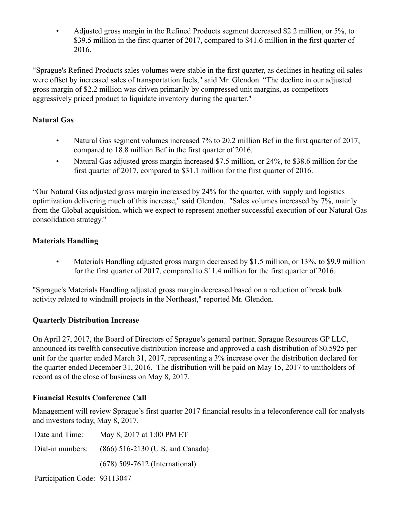• Adjusted gross margin in the Refined Products segment decreased \$2.2 million, or 5%, to \$39.5 million in the first quarter of 2017, compared to \$41.6 million in the first quarter of 2016.

"Sprague's Refined Products sales volumes were stable in the first quarter, as declines in heating oil sales were offset by increased sales of transportation fuels," said Mr. Glendon. "The decline in our adjusted gross margin of \$2.2 million was driven primarily by compressed unit margins, as competitors aggressively priced product to liquidate inventory during the quarter."

# **Natural Gas**

- Natural Gas segment volumes increased 7% to 20.2 million Bcf in the first quarter of 2017, compared to 18.8 million Bcf in the first quarter of 2016.
- Natural Gas adjusted gross margin increased \$7.5 million, or 24%, to \$38.6 million for the first quarter of 2017, compared to \$31.1 million for the first quarter of 2016.

"Our Natural Gas adjusted gross margin increased by 24% for the quarter, with supply and logistics optimization delivering much of this increase," said Glendon. "Sales volumes increased by 7%, mainly from the Global acquisition, which we expect to represent another successful execution of our Natural Gas consolidation strategy."

# **Materials Handling**

• Materials Handling adjusted gross margin decreased by \$1.5 million, or 13%, to \$9.9 million for the first quarter of 2017, compared to \$11.4 million for the first quarter of 2016.

"Sprague's Materials Handling adjusted gross margin decreased based on a reduction of break bulk activity related to windmill projects in the Northeast," reported Mr. Glendon.

## **Quarterly Distribution Increase**

On April 27, 2017, the Board of Directors of Sprague's general partner, Sprague Resources GP LLC, announced its twelfth consecutive distribution increase and approved a cash distribution of \$0.5925 per unit for the quarter ended March 31, 2017, representing a 3% increase over the distribution declared for the quarter ended December 31, 2016. The distribution will be paid on May 15, 2017 to unitholders of record as of the close of business on May 8, 2017.

## **Financial Results Conference Call**

Management will review Sprague's first quarter 2017 financial results in a teleconference call for analysts and investors today, May 8, 2017.

| May 8, 2017 at 1:00 PM ET                         |
|---------------------------------------------------|
| Dial-in numbers: (866) 516-2130 (U.S. and Canada) |
| $(678)$ 509-7612 (International)                  |
|                                                   |

Participation Code: 93113047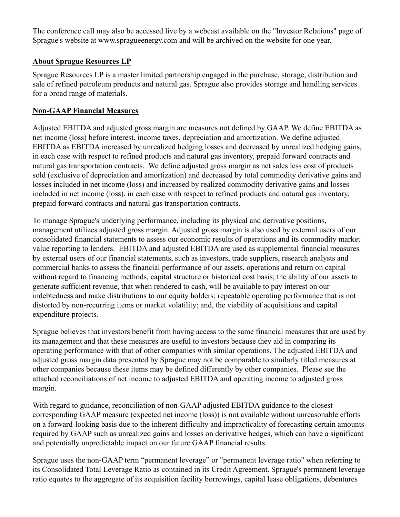The conference call may also be accessed live by a webcast available on the "Investor Relations" page of Sprague's website at www.spragueenergy.com and will be archived on the website for one year.

### **About Sprague Resources LP**

Sprague Resources LP is a master limited partnership engaged in the purchase, storage, distribution and sale of refined petroleum products and natural gas. Sprague also provides storage and handling services for a broad range of materials.

### **Non-GAAP Financial Measures**

Adjusted EBITDA and adjusted gross margin are measures not defined by GAAP. We define EBITDA as net income (loss) before interest, income taxes, depreciation and amortization. We define adjusted EBITDA as EBITDA increased by unrealized hedging losses and decreased by unrealized hedging gains, in each case with respect to refined products and natural gas inventory, prepaid forward contracts and natural gas transportation contracts. We define adjusted gross margin as net sales less cost of products sold (exclusive of depreciation and amortization) and decreased by total commodity derivative gains and losses included in net income (loss) and increased by realized commodity derivative gains and losses included in net income (loss), in each case with respect to refined products and natural gas inventory, prepaid forward contracts and natural gas transportation contracts.

To manage Sprague's underlying performance, including its physical and derivative positions, management utilizes adjusted gross margin. Adjusted gross margin is also used by external users of our consolidated financial statements to assess our economic results of operations and its commodity market value reporting to lenders. EBITDA and adjusted EBITDA are used as supplemental financial measures by external users of our financial statements, such as investors, trade suppliers, research analysts and commercial banks to assess the financial performance of our assets, operations and return on capital without regard to financing methods, capital structure or historical cost basis; the ability of our assets to generate sufficient revenue, that when rendered to cash, will be available to pay interest on our indebtedness and make distributions to our equity holders; repeatable operating performance that is not distorted by non-recurring items or market volatility; and, the viability of acquisitions and capital expenditure projects.

Sprague believes that investors benefit from having access to the same financial measures that are used by its management and that these measures are useful to investors because they aid in comparing its operating performance with that of other companies with similar operations. The adjusted EBITDA and adjusted gross margin data presented by Sprague may not be comparable to similarly titled measures at other companies because these items may be defined differently by other companies. Please see the attached reconciliations of net income to adjusted EBITDA and operating income to adjusted gross margin.

With regard to guidance, reconciliation of non-GAAP adjusted EBITDA guidance to the closest corresponding GAAP measure (expected net income (loss)) is not available without unreasonable efforts on a forward-looking basis due to the inherent difficulty and impracticality of forecasting certain amounts required by GAAP such as unrealized gains and losses on derivative hedges, which can have a significant and potentially unpredictable impact on our future GAAP financial results.

Sprague uses the non-GAAP term "permanent leverage" or "permanent leverage ratio" when referring to its Consolidated Total Leverage Ratio as contained in its Credit Agreement. Sprague's permanent leverage ratio equates to the aggregate of its acquisition facility borrowings, capital lease obligations, debentures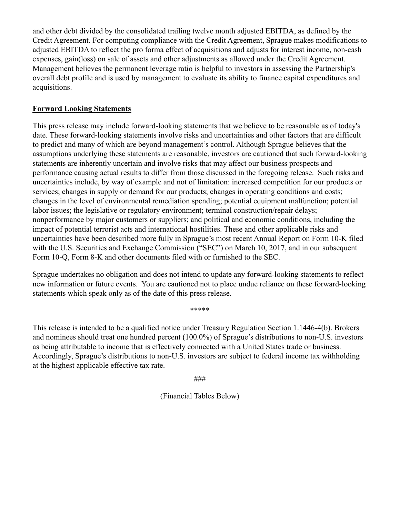and other debt divided by the consolidated trailing twelve month adjusted EBITDA, as defined by the Credit Agreement. For computing compliance with the Credit Agreement, Sprague makes modifications to adjusted EBITDA to reflect the pro forma effect of acquisitions and adjusts for interest income, non-cash expenses, gain(loss) on sale of assets and other adjustments as allowed under the Credit Agreement. Management believes the permanent leverage ratio is helpful to investors in assessing the Partnership's overall debt profile and is used by management to evaluate its ability to finance capital expenditures and acquisitions.

### **Forward Looking Statements**

This press release may include forward-looking statements that we believe to be reasonable as of today's date. These forward-looking statements involve risks and uncertainties and other factors that are difficult to predict and many of which are beyond management's control. Although Sprague believes that the assumptions underlying these statements are reasonable, investors are cautioned that such forward-looking statements are inherently uncertain and involve risks that may affect our business prospects and performance causing actual results to differ from those discussed in the foregoing release. Such risks and uncertainties include, by way of example and not of limitation: increased competition for our products or services; changes in supply or demand for our products; changes in operating conditions and costs; changes in the level of environmental remediation spending; potential equipment malfunction; potential labor issues; the legislative or regulatory environment; terminal construction/repair delays; nonperformance by major customers or suppliers; and political and economic conditions, including the impact of potential terrorist acts and international hostilities. These and other applicable risks and uncertainties have been described more fully in Sprague's most recent Annual Report on Form 10-K filed with the U.S. Securities and Exchange Commission ("SEC") on March 10, 2017, and in our subsequent Form 10-Q, Form 8-K and other documents filed with or furnished to the SEC.

Sprague undertakes no obligation and does not intend to update any forward-looking statements to reflect new information or future events. You are cautioned not to place undue reliance on these forward-looking statements which speak only as of the date of this press release.

\*\*\*\*\*

This release is intended to be a qualified notice under Treasury Regulation Section 1.1446-4(b). Brokers and nominees should treat one hundred percent (100.0%) of Sprague's distributions to non-U.S. investors as being attributable to income that is effectively connected with a United States trade or business. Accordingly, Sprague's distributions to non-U.S. investors are subject to federal income tax withholding at the highest applicable effective tax rate.

###

(Financial Tables Below)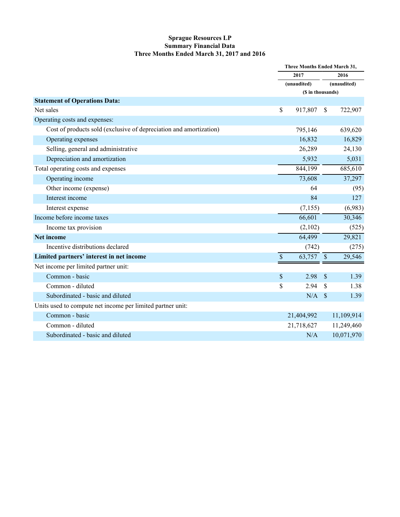#### **Sprague Resources LP Summary Financial Data Three Months Ended March 31, 2017 and 2016**

|                                                                    |      | Three Months Ended March 31, |                    |                     |  |
|--------------------------------------------------------------------|------|------------------------------|--------------------|---------------------|--|
|                                                                    |      | 2017<br>(unaudited)          |                    | 2016<br>(unaudited) |  |
|                                                                    |      |                              |                    |                     |  |
|                                                                    |      | (\$ in thousands)            |                    |                     |  |
| <b>Statement of Operations Data:</b>                               |      |                              |                    |                     |  |
| Net sales                                                          | \$   | 917,807                      | \$                 | 722,907             |  |
| Operating costs and expenses:                                      |      |                              |                    |                     |  |
| Cost of products sold (exclusive of depreciation and amortization) |      | 795,146                      |                    | 639,620             |  |
| Operating expenses                                                 |      | 16,832                       |                    | 16,829              |  |
| Selling, general and administrative                                |      | 26,289                       |                    | 24,130              |  |
| Depreciation and amortization                                      |      | 5,932                        |                    | 5,031               |  |
| Total operating costs and expenses                                 |      | 844,199                      |                    | 685,610             |  |
| Operating income                                                   |      | 73,608                       |                    | 37,297              |  |
| Other income (expense)                                             |      | 64                           |                    | (95)                |  |
| Interest income                                                    |      | 84                           |                    | 127                 |  |
| Interest expense                                                   |      | (7,155)                      |                    | (6,983)             |  |
| Income before income taxes                                         |      | 66,601                       |                    | 30,346              |  |
| Income tax provision                                               |      | (2,102)                      |                    | (525)               |  |
| Net income                                                         |      | 64,499                       |                    | 29,821              |  |
| Incentive distributions declared                                   |      | (742)                        |                    | (275)               |  |
| Limited partners' interest in net income                           | $\$$ | 63,757                       | $\$$               | 29,546              |  |
| Net income per limited partner unit:                               |      |                              |                    |                     |  |
| Common - basic                                                     | \$   | 2.98                         | \$                 | 1.39                |  |
| Common - diluted                                                   | \$   | 2.94                         | \$                 | 1.38                |  |
| Subordinated - basic and diluted                                   |      | N/A                          | $\mathbf{\hat{s}}$ | 1.39                |  |
| Units used to compute net income per limited partner unit:         |      |                              |                    |                     |  |
| Common - basic                                                     |      | 21,404,992                   |                    | 11,109,914          |  |
| Common - diluted                                                   |      | 21,718,627                   |                    | 11,249,460          |  |
| Subordinated - basic and diluted                                   |      | N/A                          |                    | 10,071,970          |  |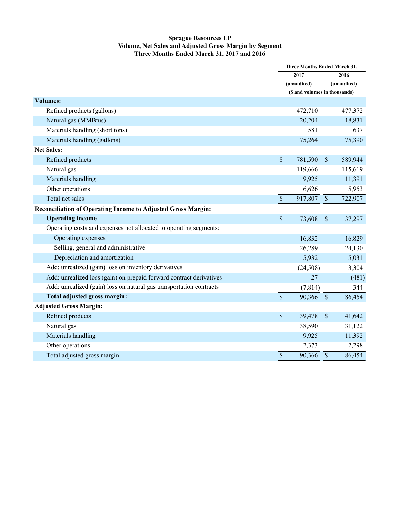#### **Sprague Resources LP Volume, Net Sales and Adjusted Gross Margin by Segment Three Months Ended March 31, 2017 and 2016**

|                                                                     | <b>Three Months Ended March 31,</b> |                                        |               |             |
|---------------------------------------------------------------------|-------------------------------------|----------------------------------------|---------------|-------------|
|                                                                     |                                     | 2017<br>(unaudited)                    |               | 2016        |
|                                                                     |                                     |                                        |               | (unaudited) |
|                                                                     |                                     | (\$ and volumes in thousands)          |               |             |
| <b>Volumes:</b>                                                     |                                     |                                        |               |             |
| Refined products (gallons)                                          |                                     | 472,710                                |               | 477,372     |
| Natural gas (MMBtus)                                                |                                     | 20,204                                 |               | 18,831      |
| Materials handling (short tons)                                     |                                     | 581                                    |               | 637         |
| Materials handling (gallons)                                        |                                     | 75,264                                 |               | 75,390      |
| <b>Net Sales:</b>                                                   |                                     |                                        |               |             |
| Refined products                                                    | $\boldsymbol{\mathsf{S}}$           | 781,590                                | $\sqrt{\ }$   | 589,944     |
| Natural gas                                                         |                                     | 119,666                                |               | 115,619     |
| Materials handling                                                  |                                     | 9,925                                  |               | 11,391      |
| Other operations                                                    |                                     | 6,626                                  |               | 5,953       |
| Total net sales                                                     | $\overline{\$}$                     | $\overline{917,807}$ \ $\overline{\$}$ |               | 722,907     |
| Reconciliation of Operating Income to Adjusted Gross Margin:        |                                     |                                        |               |             |
| <b>Operating income</b>                                             | \$                                  | 73,608                                 | $\mathcal{S}$ | 37,297      |
| Operating costs and expenses not allocated to operating segments:   |                                     |                                        |               |             |
| Operating expenses                                                  |                                     | 16,832                                 |               | 16,829      |
| Selling, general and administrative                                 |                                     | 26,289                                 |               | 24,130      |
| Depreciation and amortization                                       |                                     | 5,932                                  |               | 5,031       |
| Add: unrealized (gain) loss on inventory derivatives                |                                     | (24,508)                               |               | 3,304       |
| Add: unrealized loss (gain) on prepaid forward contract derivatives |                                     | 27                                     |               | (481)       |
| Add: unrealized (gain) loss on natural gas transportation contracts |                                     | (7, 814)                               |               | 344         |
| Total adjusted gross margin:                                        | \$                                  | 90,366                                 | $\mathcal{S}$ | 86,454      |
| <b>Adjusted Gross Margin:</b>                                       |                                     |                                        |               |             |
| Refined products                                                    | \$                                  | 39,478                                 | $\mathcal{S}$ | 41,642      |
| Natural gas                                                         |                                     | 38,590                                 |               | 31,122      |
| Materials handling                                                  |                                     | 9,925                                  |               | 11,392      |
| Other operations                                                    |                                     | 2,373                                  |               | 2,298       |
| Total adjusted gross margin                                         | \$                                  | 90,366                                 | $\mathcal{S}$ | 86,454      |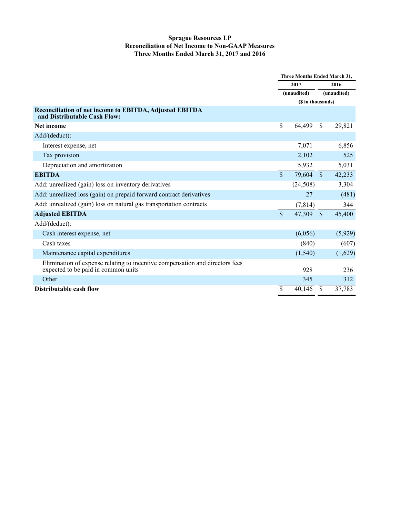#### **Sprague Resources LP Reconciliation of Net Income to Non-GAAP Measures Three Months Ended March 31, 2017 and 2016**

|                                                                                                                     | <b>Three Months Ended March 31,</b> |          |               |         |
|---------------------------------------------------------------------------------------------------------------------|-------------------------------------|----------|---------------|---------|
|                                                                                                                     | 2017<br>(unaudited)                 |          |               | 2016    |
|                                                                                                                     |                                     |          | (unaudited)   |         |
|                                                                                                                     | (\$ in thousands)                   |          |               |         |
| Reconciliation of net income to EBITDA, Adjusted EBITDA<br>and Distributable Cash Flow:                             |                                     |          |               |         |
| Net income                                                                                                          | \$                                  | 64,499   | <sup>\$</sup> | 29,821  |
| Add/(deduct):                                                                                                       |                                     |          |               |         |
| Interest expense, net                                                                                               |                                     | 7,071    |               | 6,856   |
| Tax provision                                                                                                       |                                     | 2,102    |               | 525     |
| Depreciation and amortization                                                                                       |                                     | 5,932    |               | 5,031   |
| <b>EBITDA</b>                                                                                                       | \$                                  | 79,604   | <sup>S</sup>  | 42,233  |
| Add: unrealized (gain) loss on inventory derivatives                                                                |                                     | (24,508) |               | 3,304   |
| Add: unrealized loss (gain) on prepaid forward contract derivatives                                                 |                                     | 27       |               | (481)   |
| Add: unrealized (gain) loss on natural gas transportation contracts                                                 |                                     | (7, 814) |               | 344     |
| <b>Adjusted EBITDA</b>                                                                                              | $\overline{\mathbb{S}}$             | 47,309   | $\mathbb{S}$  | 45,400  |
| Add/(deduct):                                                                                                       |                                     |          |               |         |
| Cash interest expense, net                                                                                          |                                     | (6,056)  |               | (5,929) |
| Cash taxes                                                                                                          |                                     | (840)    |               | (607)   |
| Maintenance capital expenditures                                                                                    |                                     | (1, 540) |               | (1,629) |
| Elimination of expense relating to incentive compensation and directors fees<br>expected to be paid in common units |                                     | 928      |               | 236     |
| Other                                                                                                               |                                     | 345      |               | 312     |
| Distributable cash flow                                                                                             | \$                                  | 40,146   | \$            | 37,783  |